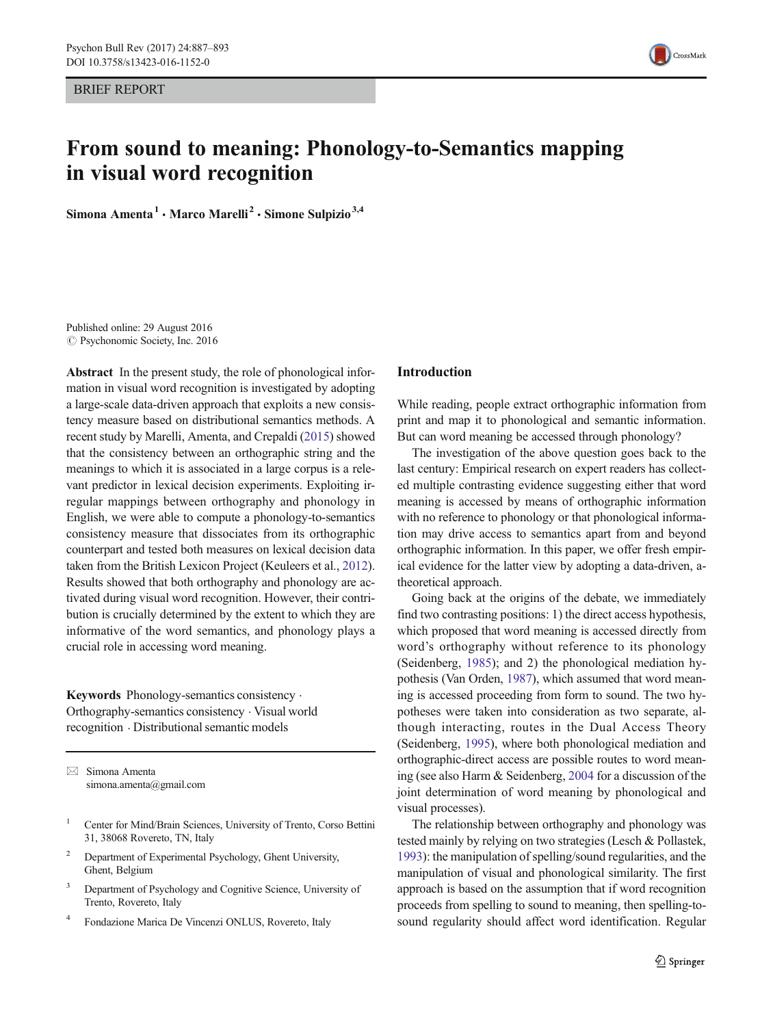<span id="page-0-0"></span>BRIEF REPORT



# From sound to meaning: Phonology-to-Semantics mapping in visual word recognition

Simona Amenta<sup>1</sup> · Marco Marelli<sup>2</sup> · Simone Sulpizio<sup>3,4</sup>

© Psychonomic Society, Inc. 2016 Published online: 29 August 2016

Abstract In the present study, the role of phonological information in visual word recognition is investigated by adopting a large-scale data-driven approach that exploits a new consistency measure based on distributional semantics methods. A recent study by Marelli, Amenta, and Crepaldi [\(2015\)](#page-6-0) showed that the consistency between an orthographic string and the meanings to which it is associated in a large corpus is a relevant predictor in lexical decision experiments. Exploiting irregular mappings between orthography and phonology in English, we were able to compute a phonology-to-semantics consistency measure that dissociates from its orthographic counterpart and tested both measures on lexical decision data taken from the British Lexicon Project (Keuleers et al., [2012\)](#page-6-0). Results showed that both orthography and phonology are activated during visual word recognition. However, their contribution is crucially determined by the extent to which they are informative of the word semantics, and phonology plays a crucial role in accessing word meaning.

Keywords Phonology-semantics consistency . Orthography-semantics consistency . Visual world recognition . Distributional semantic models

 $\boxtimes$  Simona Amenta simona.amenta@gmail.com

- <sup>1</sup> Center for Mind/Brain Sciences, University of Trento, Corso Bettini 31, 38068 Rovereto, TN, Italy
- <sup>2</sup> Department of Experimental Psychology, Ghent University, Ghent, Belgium
- <sup>3</sup> Department of Psychology and Cognitive Science, University of Trento, Rovereto, Italy
- <sup>4</sup> Fondazione Marica De Vincenzi ONLUS, Rovereto, Italy

### Introduction

While reading, people extract orthographic information from print and map it to phonological and semantic information. But can word meaning be accessed through phonology?

The investigation of the above question goes back to the last century: Empirical research on expert readers has collected multiple contrasting evidence suggesting either that word meaning is accessed by means of orthographic information with no reference to phonology or that phonological information may drive access to semantics apart from and beyond orthographic information. In this paper, we offer fresh empirical evidence for the latter view by adopting a data-driven, atheoretical approach.

Going back at the origins of the debate, we immediately find two contrasting positions: 1) the direct access hypothesis, which proposed that word meaning is accessed directly from word's orthography without reference to its phonology (Seidenberg, [1985\)](#page-6-0); and 2) the phonological mediation hypothesis (Van Orden, [1987](#page-6-0)), which assumed that word meaning is accessed proceeding from form to sound. The two hypotheses were taken into consideration as two separate, although interacting, routes in the Dual Access Theory (Seidenberg, [1995\)](#page-6-0), where both phonological mediation and orthographic-direct access are possible routes to word meaning (see also Harm & Seidenberg, [2004](#page-6-0) for a discussion of the joint determination of word meaning by phonological and visual processes).

The relationship between orthography and phonology was tested mainly by relying on two strategies (Lesch & Pollastek, [1993\)](#page-6-0): the manipulation of spelling/sound regularities, and the manipulation of visual and phonological similarity. The first approach is based on the assumption that if word recognition proceeds from spelling to sound to meaning, then spelling-tosound regularity should affect word identification. Regular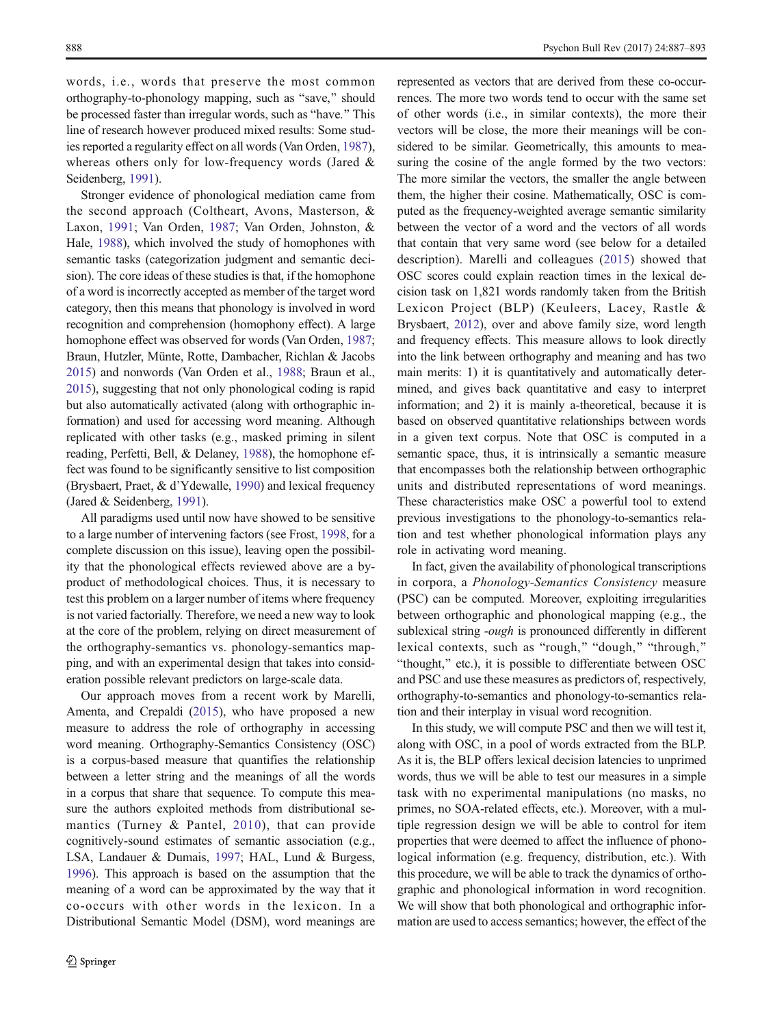words, i.e., words that preserve the most common orthography-to-phonology mapping, such as "save," should be processed faster than irregular words, such as "have." This line of research however produced mixed results: Some studies reported a regularity effect on all words (Van Orden, [1987\)](#page-6-0), whereas others only for low-frequency words (Jared & Seidenberg, [1991](#page-6-0)).

Stronger evidence of phonological mediation came from the second approach (Coltheart, Avons, Masterson, & Laxon, [1991](#page-6-0); Van Orden, [1987](#page-6-0); Van Orden, Johnston, & Hale, [1988\)](#page-6-0), which involved the study of homophones with semantic tasks (categorization judgment and semantic decision). The core ideas of these studies is that, if the homophone of a word is incorrectly accepted as member of the target word category, then this means that phonology is involved in word recognition and comprehension (homophony effect). A large homophone effect was observed for words (Van Orden, [1987](#page-6-0); Braun, Hutzler, Münte, Rotte, Dambacher, Richlan & Jacobs [2015\)](#page-6-0) and nonwords (Van Orden et al., [1988](#page-6-0); Braun et al., [2015\)](#page-6-0), suggesting that not only phonological coding is rapid but also automatically activated (along with orthographic information) and used for accessing word meaning. Although replicated with other tasks (e.g., masked priming in silent reading, Perfetti, Bell, & Delaney, [1988\)](#page-6-0), the homophone effect was found to be significantly sensitive to list composition (Brysbaert, Praet, & d'Ydewalle, [1990](#page-6-0)) and lexical frequency (Jared & Seidenberg, [1991](#page-6-0)).

All paradigms used until now have showed to be sensitive to a large number of intervening factors (see Frost, [1998,](#page-6-0) for a complete discussion on this issue), leaving open the possibility that the phonological effects reviewed above are a byproduct of methodological choices. Thus, it is necessary to test this problem on a larger number of items where frequency is not varied factorially. Therefore, we need a new way to look at the core of the problem, relying on direct measurement of the orthography-semantics vs. phonology-semantics mapping, and with an experimental design that takes into consideration possible relevant predictors on large-scale data.

Our approach moves from a recent work by Marelli, Amenta, and Crepaldi ([2015\)](#page-6-0), who have proposed a new measure to address the role of orthography in accessing word meaning. Orthography-Semantics Consistency (OSC) is a corpus-based measure that quantifies the relationship between a letter string and the meanings of all the words in a corpus that share that sequence. To compute this measure the authors exploited methods from distributional semantics (Turney & Pantel, [2010\)](#page-6-0), that can provide cognitively-sound estimates of semantic association (e.g., LSA, Landauer & Dumais, [1997](#page-6-0); HAL, Lund & Burgess, [1996\)](#page-6-0). This approach is based on the assumption that the meaning of a word can be approximated by the way that it co-occurs with other words in the lexicon. In a Distributional Semantic Model (DSM), word meanings are represented as vectors that are derived from these co-occurrences. The more two words tend to occur with the same set of other words (i.e., in similar contexts), the more their vectors will be close, the more their meanings will be considered to be similar. Geometrically, this amounts to measuring the cosine of the angle formed by the two vectors: The more similar the vectors, the smaller the angle between them, the higher their cosine. Mathematically, OSC is computed as the frequency-weighted average semantic similarity between the vector of a word and the vectors of all words that contain that very same word (see below for a detailed description). Marelli and colleagues [\(2015\)](#page-6-0) showed that OSC scores could explain reaction times in the lexical decision task on 1,821 words randomly taken from the British Lexicon Project (BLP) (Keuleers, Lacey, Rastle & Brysbaert, [2012\)](#page-6-0), over and above family size, word length and frequency effects. This measure allows to look directly into the link between orthography and meaning and has two main merits: 1) it is quantitatively and automatically determined, and gives back quantitative and easy to interpret information; and 2) it is mainly a-theoretical, because it is based on observed quantitative relationships between words in a given text corpus. Note that OSC is computed in a semantic space, thus, it is intrinsically a semantic measure that encompasses both the relationship between orthographic units and distributed representations of word meanings. These characteristics make OSC a powerful tool to extend previous investigations to the phonology-to-semantics relation and test whether phonological information plays any role in activating word meaning.

In fact, given the availability of phonological transcriptions in corpora, a Phonology-Semantics Consistency measure (PSC) can be computed. Moreover, exploiting irregularities between orthographic and phonological mapping (e.g., the sublexical string -*ough* is pronounced differently in different lexical contexts, such as "rough," "dough," "through," "thought," etc.), it is possible to differentiate between OSC and PSC and use these measures as predictors of, respectively, orthography-to-semantics and phonology-to-semantics relation and their interplay in visual word recognition.

In this study, we will compute PSC and then we will test it, along with OSC, in a pool of words extracted from the BLP. As it is, the BLP offers lexical decision latencies to unprimed words, thus we will be able to test our measures in a simple task with no experimental manipulations (no masks, no primes, no SOA-related effects, etc.). Moreover, with a multiple regression design we will be able to control for item properties that were deemed to affect the influence of phonological information (e.g. frequency, distribution, etc.). With this procedure, we will be able to track the dynamics of orthographic and phonological information in word recognition. We will show that both phonological and orthographic information are used to access semantics; however, the effect of the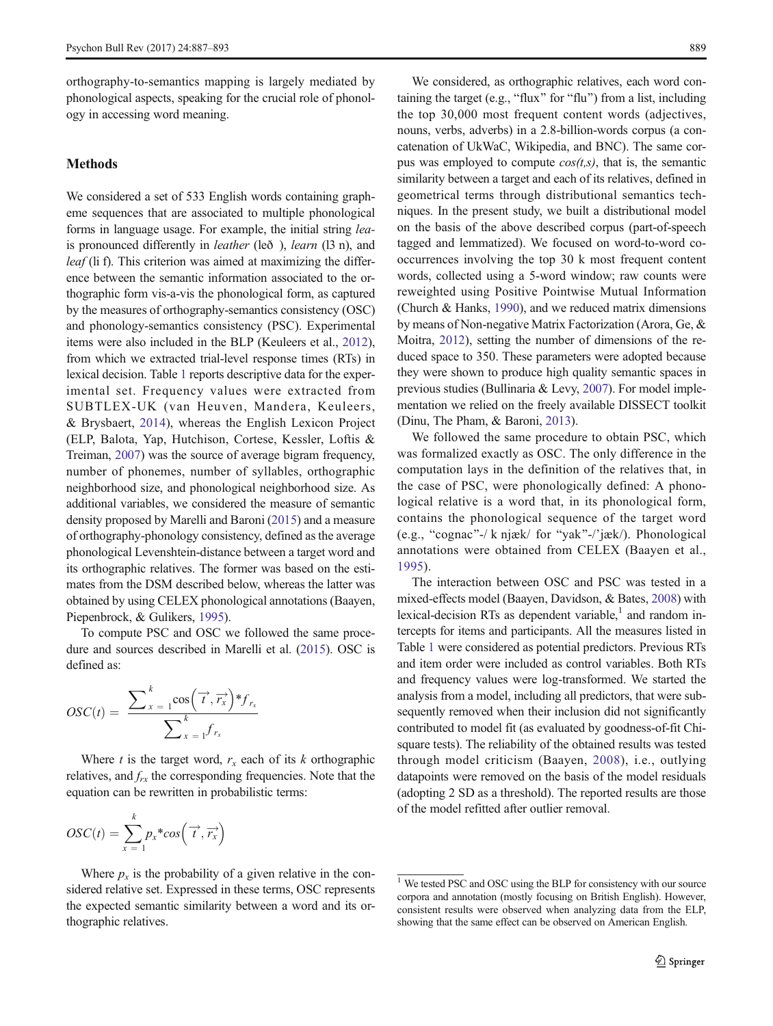orthography-to-semantics mapping is largely mediated by phonological aspects, speaking for the crucial role of phonology in accessing word meaning.

# Methods

We considered a set of 533 English words containing grapheme sequences that are associated to multiple phonological forms in language usage. For example, the initial string leais pronounced differently in leather (leð ), learn (l3 n), and leaf (li f). This criterion was aimed at maximizing the difference between the semantic information associated to the orthographic form vis-a-vis the phonological form, as captured by the measures of orthography-semantics consistency (OSC) and phonology-semantics consistency (PSC). Experimental items were also included in the BLP (Keuleers et al., [2012\)](#page-6-0), from which we extracted trial-level response times (RTs) in lexical decision. Table [1](#page-3-0) reports descriptive data for the experimental set. Frequency values were extracted from SUBTLEX-UK (van Heuven, Mandera, Keuleers, & Brysbaert, [2014\)](#page-6-0), whereas the English Lexicon Project (ELP, Balota, Yap, Hutchison, Cortese, Kessler, Loftis & Treiman, [2007](#page-5-0)) was the source of average bigram frequency, number of phonemes, number of syllables, orthographic neighborhood size, and phonological neighborhood size. As additional variables, we considered the measure of semantic density proposed by Marelli and Baroni [\(2015\)](#page-6-0) and a measure of orthography-phonology consistency, defined as the average phonological Levenshtein-distance between a target word and its orthographic relatives. The former was based on the estimates from the DSM described below, whereas the latter was obtained by using CELEX phonological annotations (Baayen, Piepenbrock, & Gulikers, [1995\)](#page-5-0).

To compute PSC and OSC we followed the same procedure and sources described in Marelli et al. [\(2015](#page-6-0)). OSC is defined as:

$$
OSC(t) = \frac{\sum_{x=1}^{k} \cos\left(\overrightarrow{t}, \overrightarrow{r_x}\right) * f_{r_x}}{\sum_{x=1}^{k} f_{r_x}}
$$

Where t is the target word,  $r_x$  each of its k orthographic relatives, and  $f_{rx}$  the corresponding frequencies. Note that the equation can be rewritten in probabilistic terms:

$$
OSC(t) = \sum_{x=1}^{k} p_x * cos(\vec{\tau}, \vec{r_x})
$$

Where  $p_x$  is the probability of a given relative in the considered relative set. Expressed in these terms, OSC represents the expected semantic similarity between a word and its orthographic relatives.

We considered, as orthographic relatives, each word containing the target (e.g., "flux" for "flu") from a list, including the top 30,000 most frequent content words (adjectives, nouns, verbs, adverbs) in a 2.8-billion-words corpus (a concatenation of UkWaC, Wikipedia, and BNC). The same corpus was employed to compute  $cos(t, s)$ , that is, the semantic similarity between a target and each of its relatives, defined in geometrical terms through distributional semantics techniques. In the present study, we built a distributional model on the basis of the above described corpus (part-of-speech tagged and lemmatized). We focused on word-to-word cooccurrences involving the top 30 k most frequent content words, collected using a 5-word window; raw counts were reweighted using Positive Pointwise Mutual Information (Church & Hanks, [1990](#page-6-0)), and we reduced matrix dimensions by means of Non-negative Matrix Factorization (Arora, Ge, & Moitra, [2012](#page-5-0)), setting the number of dimensions of the reduced space to 350. These parameters were adopted because they were shown to produce high quality semantic spaces in previous studies (Bullinaria & Levy, [2007\)](#page-6-0). For model implementation we relied on the freely available DISSECT toolkit (Dinu, The Pham, & Baroni, [2013](#page-6-0)).

We followed the same procedure to obtain PSC, which was formalized exactly as OSC. The only difference in the computation lays in the definition of the relatives that, in the case of PSC, were phonologically defined: A phonological relative is a word that, in its phonological form, contains the phonological sequence of the target word (e.g., "cognac"-/ k njæk/ for "yak"-/'jæk/). Phonological annotations were obtained from CELEX (Baayen et al., [1995](#page-5-0)).

The interaction between OSC and PSC was tested in a mixed-effects model (Baayen, Davidson, & Bates, [2008\)](#page-5-0) with lexical-decision RTs as dependent variable, $<sup>1</sup>$  and random in-</sup> tercepts for items and participants. All the measures listed in Table [1](#page-3-0) were considered as potential predictors. Previous RTs and item order were included as control variables. Both RTs and frequency values were log-transformed. We started the analysis from a model, including all predictors, that were subsequently removed when their inclusion did not significantly contributed to model fit (as evaluated by goodness-of-fit Chisquare tests). The reliability of the obtained results was tested through model criticism (Baayen, [2008](#page-5-0)), i.e., outlying datapoints were removed on the basis of the model residuals (adopting 2 SD as a threshold). The reported results are those of the model refitted after outlier removal.

<sup>&</sup>lt;sup>1</sup> We tested PSC and OSC using the BLP for consistency with our source corpora and annotation (mostly focusing on British English). However, consistent results were observed when analyzing data from the ELP, showing that the same effect can be observed on American English.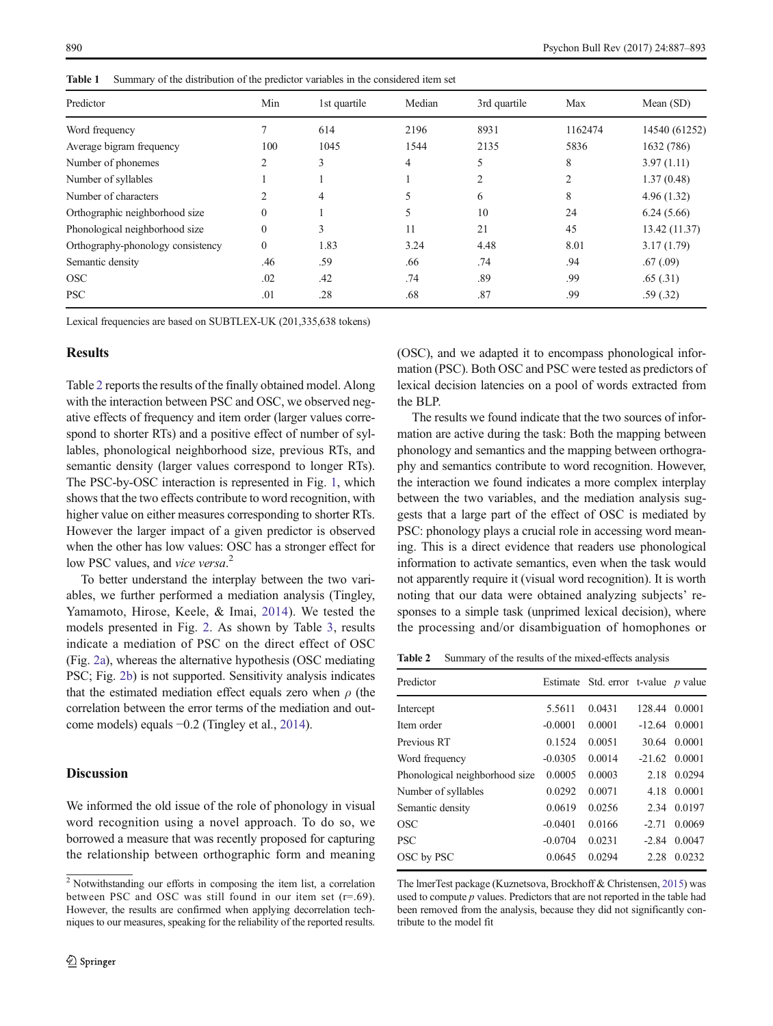<span id="page-3-0"></span>Table 1 Summary of the distribution of the predictor variables in the considered item set

| Predictor                         | Min            | 1st quartile | Median | 3rd quartile | Max     | Mean $(SD)$   |
|-----------------------------------|----------------|--------------|--------|--------------|---------|---------------|
| Word frequency                    |                | 614          | 2196   | 8931         | 1162474 | 14540 (61252) |
| Average bigram frequency          | 100            | 1045         | 1544   | 2135         | 5836    | 1632 (786)    |
| Number of phonemes                | $\mathfrak{D}$ | 3            | 4      | 5            | 8       | 3.97(1.11)    |
| Number of syllables               |                |              |        | 2            | 2       | 1.37(0.48)    |
| Number of characters              | $\mathfrak{D}$ | 4            | 5      | 6            | 8       | 4.96(1.32)    |
| Orthographic neighborhood size    | 0              |              | 5      | 10           | 24      | 6.24(5.66)    |
| Phonological neighborhood size    | $\theta$       | 3            | 11     | 21           | 45      | 13.42 (11.37) |
| Orthography-phonology consistency | $\Omega$       | 1.83         | 3.24   | 4.48         | 8.01    | 3.17(1.79)    |
| Semantic density                  | .46            | .59          | .66    | .74          | .94     | .67(0.09)     |
| <b>OSC</b>                        | .02            | .42          | .74    | .89          | .99     | .65(.31)      |
| <b>PSC</b>                        | .01            | .28          | .68    | .87          | .99     | .59(.32)      |

Lexical frequencies are based on SUBTLEX-UK (201,335,638 tokens)

## **Results**

Table 2 reports the results of the finally obtained model. Along with the interaction between PSC and OSC, we observed negative effects of frequency and item order (larger values correspond to shorter RTs) and a positive effect of number of syllables, phonological neighborhood size, previous RTs, and semantic density (larger values correspond to longer RTs). The PSC-by-OSC interaction is represented in Fig. [1,](#page-4-0) which shows that the two effects contribute to word recognition, with higher value on either measures corresponding to shorter RTs. However the larger impact of a given predictor is observed when the other has low values: OSC has a stronger effect for low PSC values, and vice versa.<sup>2</sup>

To better understand the interplay between the two variables, we further performed a mediation analysis (Tingley, Yamamoto, Hirose, Keele, & Imai, [2014](#page-6-0)). We tested the models presented in Fig. [2](#page-4-0). As shown by Table [3](#page-5-0), results indicate a mediation of PSC on the direct effect of OSC (Fig. [2a](#page-4-0)), whereas the alternative hypothesis (OSC mediating PSC; Fig. [2b](#page-4-0)) is not supported. Sensitivity analysis indicates that the estimated mediation effect equals zero when  $\rho$  (the correlation between the error terms of the mediation and outcome models) equals −0.2 (Tingley et al., [2014](#page-6-0)).

## **Discussion**

We informed the old issue of the role of phonology in visual word recognition using a novel approach. To do so, we borrowed a measure that was recently proposed for capturing the relationship between orthographic form and meaning (OSC), and we adapted it to encompass phonological information (PSC). Both OSC and PSC were tested as predictors of lexical decision latencies on a pool of words extracted from the BLP.

The results we found indicate that the two sources of information are active during the task: Both the mapping between phonology and semantics and the mapping between orthography and semantics contribute to word recognition. However, the interaction we found indicates a more complex interplay between the two variables, and the mediation analysis suggests that a large part of the effect of OSC is mediated by PSC: phonology plays a crucial role in accessing word meaning. This is a direct evidence that readers use phonological information to activate semantics, even when the task would not apparently require it (visual word recognition). It is worth noting that our data were obtained analyzing subjects' responses to a simple task (unprimed lexical decision), where the processing and/or disambiguation of homophones or

Table 2 Summary of the results of the mixed-effects analysis

| Predictor                      |           | Estimate Std. error t-value <i>p</i> value |          |        |
|--------------------------------|-----------|--------------------------------------------|----------|--------|
| Intercept                      | 5.5611    | 0.0431                                     | 128.44   | 0.0001 |
| Item order                     | $-0.0001$ | 0.0001                                     | $-12.64$ | 0.0001 |
| Previous RT                    | 0.1524    | 0.0051                                     | 30.64    | 0.0001 |
| Word frequency                 | $-0.0305$ | 0.0014                                     | $-21.62$ | 0.0001 |
| Phonological neighborhood size | 0.0005    | 0.0003                                     | 2.18     | 0.0294 |
| Number of syllables            | 0.0292    | 0.0071                                     | 4.18     | 0.0001 |
| Semantic density               | 0.0619    | 0.0256                                     | 2.34     | 0.0197 |
| OSC                            | $-0.0401$ | 0.0166                                     | $-2.71$  | 0.0069 |
| <b>PSC</b>                     | $-0.0704$ | 0.0231                                     | $-2.84$  | 0.0047 |
| OSC by PSC                     | 0.0645    | 0.0294                                     | 2.28     | 0.0232 |
|                                |           |                                            |          |        |

The lmerTest package (Kuznetsova, Brockhoff & Christensen, [2015\)](#page-6-0) was used to compute  $p$  values. Predictors that are not reported in the table had been removed from the analysis, because they did not significantly contribute to the model fit

<sup>2</sup> Notwithstanding our efforts in composing the item list, a correlation between PSC and OSC was still found in our item set  $(r=.69)$ . However, the results are confirmed when applying decorrelation techniques to our measures, speaking for the reliability of the reported results.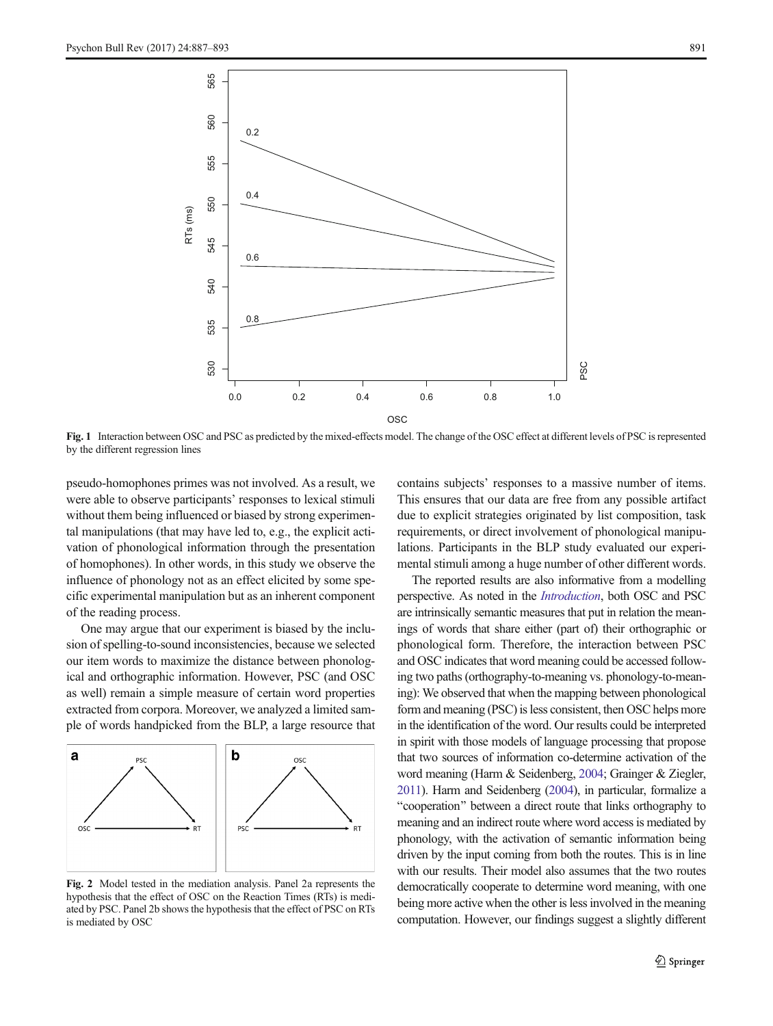<span id="page-4-0"></span>

Fig. 1 Interaction between OSC and PSC as predicted by the mixed-effects model. The change of the OSC effect at different levels of PSC is represented by the different regression lines

pseudo-homophones primes was not involved. As a result, we were able to observe participants' responses to lexical stimuli without them being influenced or biased by strong experimental manipulations (that may have led to, e.g., the explicit activation of phonological information through the presentation of homophones). In other words, in this study we observe the influence of phonology not as an effect elicited by some specific experimental manipulation but as an inherent component of the reading process.

One may argue that our experiment is biased by the inclusion of spelling-to-sound inconsistencies, because we selected our item words to maximize the distance between phonological and orthographic information. However, PSC (and OSC as well) remain a simple measure of certain word properties extracted from corpora. Moreover, we analyzed a limited sample of words handpicked from the BLP, a large resource that



Fig. 2 Model tested in the mediation analysis. Panel 2a represents the hypothesis that the effect of OSC on the Reaction Times (RTs) is mediated by PSC. Panel 2b shows the hypothesis that the effect of PSC on RTs is mediated by OSC

contains subjects' responses to a massive number of items. This ensures that our data are free from any possible artifact due to explicit strategies originated by list composition, task requirements, or direct involvement of phonological manipulations. Participants in the BLP study evaluated our experimental stimuli among a huge number of other different words.

The reported results are also informative from a modelling perspective. As noted in the [Introduction](#page-0-0), both OSC and PSC are intrinsically semantic measures that put in relation the meanings of words that share either (part of) their orthographic or phonological form. Therefore, the interaction between PSC and OSC indicates that word meaning could be accessed following two paths (orthography-to-meaning vs. phonology-to-meaning): We observed that when the mapping between phonological form and meaning (PSC) is less consistent, then OSC helps more in the identification of the word. Our results could be interpreted in spirit with those models of language processing that propose that two sources of information co-determine activation of the word meaning (Harm & Seidenberg, [2004](#page-6-0); Grainger & Ziegler, [2011\)](#page-6-0). Harm and Seidenberg [\(2004\)](#page-6-0), in particular, formalize a "cooperation" between a direct route that links orthography to meaning and an indirect route where word access is mediated by phonology, with the activation of semantic information being driven by the input coming from both the routes. This is in line with our results. Their model also assumes that the two routes democratically cooperate to determine word meaning, with one being more active when the other is less involved in the meaning computation. However, our findings suggest a slightly different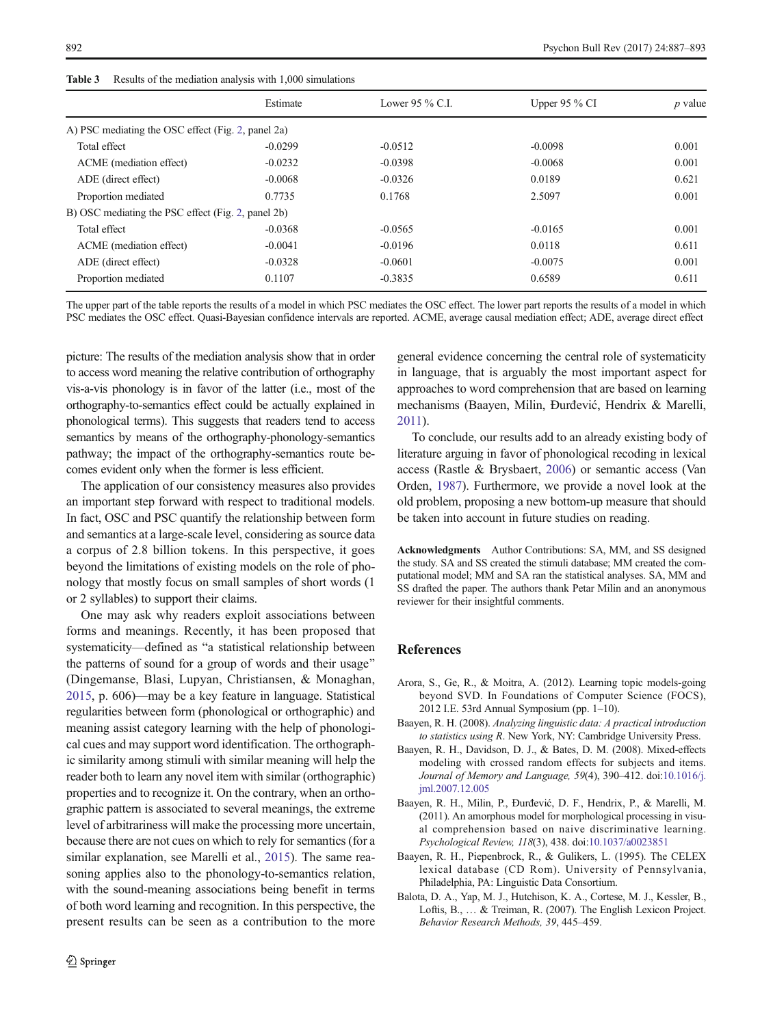<span id="page-5-0"></span>

| <b>Table 3</b> |  |  |  |  |  |  | Results of the mediation analysis with 1,000 simulations |
|----------------|--|--|--|--|--|--|----------------------------------------------------------|
|----------------|--|--|--|--|--|--|----------------------------------------------------------|

|                                                    | Estimate  | Lower 95 $\%$ C.I. | Upper 95 $\%$ CI | <i>p</i> value |
|----------------------------------------------------|-----------|--------------------|------------------|----------------|
| A) PSC mediating the OSC effect (Fig. 2, panel 2a) |           |                    |                  |                |
| Total effect                                       | $-0.0299$ | $-0.0512$          | $-0.0098$        | 0.001          |
| ACME (mediation effect)                            | $-0.0232$ | $-0.0398$          | $-0.0068$        | 0.001          |
| ADE (direct effect)                                | $-0.0068$ | $-0.0326$          | 0.0189           | 0.621          |
| Proportion mediated                                | 0.7735    | 0.1768             | 2.5097           | 0.001          |
| B) OSC mediating the PSC effect (Fig. 2, panel 2b) |           |                    |                  |                |
| Total effect                                       | $-0.0368$ | $-0.0565$          | $-0.0165$        | 0.001          |
| ACME (mediation effect)                            | $-0.0041$ | $-0.0196$          | 0.0118           | 0.611          |
| ADE (direct effect)                                | $-0.0328$ | $-0.0601$          | $-0.0075$        | 0.001          |
| Proportion mediated                                | 0.1107    | $-0.3835$          | 0.6589           | 0.611          |

The upper part of the table reports the results of a model in which PSC mediates the OSC effect. The lower part reports the results of a model in which

PSC mediates the OSC effect. Quasi-Bayesian confidence intervals are reported. ACME, average causal mediation effect; ADE, average direct effect

picture: The results of the mediation analysis show that in order to access word meaning the relative contribution of orthography vis-a-vis phonology is in favor of the latter (i.e., most of the orthography-to-semantics effect could be actually explained in phonological terms). This suggests that readers tend to access semantics by means of the orthography-phonology-semantics 2011).

pathway; the impact of the orthography-semantics route becomes evident only when the former is less efficient. The application of our consistency measures also provides an important step forward with respect to traditional models. In fact, OSC and PSC quantify the relationship between form and semantics at a large-scale level, considering as source data a corpus of 2.8 billion tokens. In this perspective, it goes beyond the limitations of existing models on the role of pho-

nology that mostly focus on small samples of short words (1

or 2 syllables) to support their claims. One may ask why readers exploit associations between forms and meanings. Recently, it has been proposed that systematicity—defined as "a statistical relationship between the patterns of sound for a group of words and their usage" (Dingemanse, Blasi, Lupyan, Christiansen, & Monaghan, [2015,](#page-6-0) p. 606)—may be a key feature in language. Statistical regularities between form (phonological or orthographic) and meaning assist category learning with the help of phonological cues and may support word identification. The orthographic similarity among stimuli with similar meaning will help the reader both to learn any novel item with similar (orthographic) properties and to recognize it. On the contrary, when an orthographic pattern is associated to several meanings, the extreme level of arbitrariness will make the processing more uncertain, because there are not cues on which to rely for semantics (for a similar explanation, see Marelli et al., [2015\)](#page-6-0). The same reasoning applies also to the phonology-to-semantics relation, with the sound-meaning associations being benefit in terms of both word learning and recognition. In this perspective, the present results can be seen as a contribution to the more general evidence concerning the central role of systematicity in language, that is arguably the most important aspect for approaches to word comprehension that are based on learning mechanisms (Baayen, Milin, Đurđević, Hendrix & Marelli,

To conclude, our results add to an already existing body of literature arguing in favor of phonological recoding in lexical access (Rastle & Brysbaert, [2006\)](#page-6-0) or semantic access (Van Orden, [1987](#page-6-0)). Furthermore, we provide a novel look at the old problem, proposing a new bottom-up measure that should be taken into account in future studies on reading.

Acknowledgments Author Contributions: SA, MM, and SS designed the study. SA and SS created the stimuli database; MM created the computational model; MM and SA ran the statistical analyses. SA, MM and SS drafted the paper. The authors thank Petar Milin and an anonymous reviewer for their insightful comments.

### **References**

- Arora, S., Ge, R., & Moitra, A. (2012). Learning topic models-going beyond SVD. In Foundations of Computer Science (FOCS), 2012 I.E. 53rd Annual Symposium (pp. 1–10).
- Baayen, R. H. (2008). Analyzing linguistic data: A practical introduction to statistics using R. New York, NY: Cambridge University Press.
- Baayen, R. H., Davidson, D. J., & Bates, D. M. (2008). Mixed-effects modeling with crossed random effects for subjects and items. Journal of Memory and Language, 59(4), 390–412. doi:[10.1016/j.](http://dx.doi.org/10.1016/j.jml.2007.12.005) [jml.2007.12.005](http://dx.doi.org/10.1016/j.jml.2007.12.005)
- Baayen, R. H., Milin, P., Đurđević, D. F., Hendrix, P., & Marelli, M. (2011). An amorphous model for morphological processing in visual comprehension based on naive discriminative learning. Psychological Review, 118(3), 438. doi:[10.1037/a0023851](http://dx.doi.org/10.1037/a0023851)
- Baayen, R. H., Piepenbrock, R., & Gulikers, L. (1995). The CELEX lexical database (CD Rom). University of Pennsylvania, Philadelphia, PA: Linguistic Data Consortium.
- Balota, D. A., Yap, M. J., Hutchison, K. A., Cortese, M. J., Kessler, B., Loftis, B., … & Treiman, R. (2007). The English Lexicon Project. Behavior Research Methods, 39, 445–459.